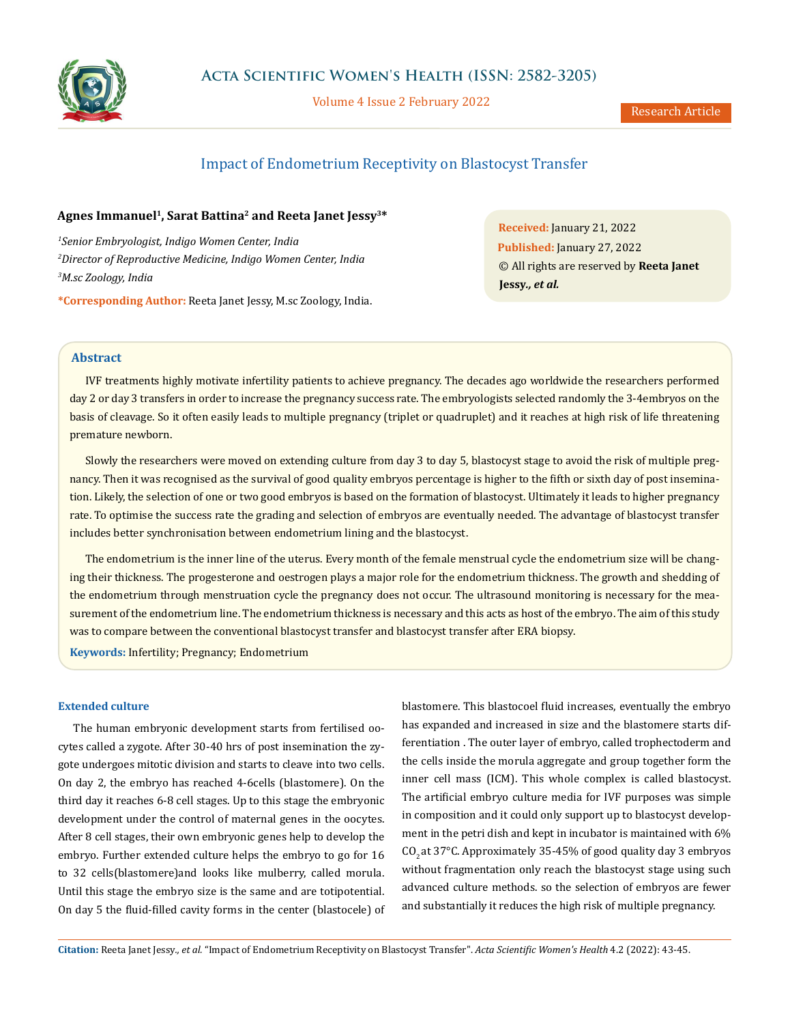

Volume 4 Issue 2 February 2022

# Impact of Endometrium Receptivity on Blastocyst Transfer

# **Agnes Immanuel1, Sarat Battina2 and Reeta Janet Jessy3\***

*1 Senior Embryologist, Indigo Women Center, India 2 Director of Reproductive Medicine, Indigo Women Center, India 3 M.sc Zoology, India*

**\*Corresponding Author:** Reeta Janet Jessy, M.sc Zoology, India.

**Received:** January 21, 2022 **Published:** January 27, 2022 © All rights are reserved by **Reeta Janet Jessy***., et al.*

# **Abstract**

IVF treatments highly motivate infertility patients to achieve pregnancy. The decades ago worldwide the researchers performed day 2 or day 3 transfers in order to increase the pregnancy success rate. The embryologists selected randomly the 3-4embryos on the basis of cleavage. So it often easily leads to multiple pregnancy (triplet or quadruplet) and it reaches at high risk of life threatening premature newborn.

Slowly the researchers were moved on extending culture from day 3 to day 5, blastocyst stage to avoid the risk of multiple pregnancy. Then it was recognised as the survival of good quality embryos percentage is higher to the fifth or sixth day of post insemination. Likely, the selection of one or two good embryos is based on the formation of blastocyst. Ultimately it leads to higher pregnancy rate. To optimise the success rate the grading and selection of embryos are eventually needed. The advantage of blastocyst transfer includes better synchronisation between endometrium lining and the blastocyst.

The endometrium is the inner line of the uterus. Every month of the female menstrual cycle the endometrium size will be changing their thickness. The progesterone and oestrogen plays a major role for the endometrium thickness. The growth and shedding of the endometrium through menstruation cycle the pregnancy does not occur. The ultrasound monitoring is necessary for the measurement of the endometrium line. The endometrium thickness is necessary and this acts as host of the embryo. The aim of this study was to compare between the conventional blastocyst transfer and blastocyst transfer after ERA biopsy.

**Keywords:** Infertility; Pregnancy; Endometrium

### **Extended culture**

The human embryonic development starts from fertilised oocytes called a zygote. After 30-40 hrs of post insemination the zygote undergoes mitotic division and starts to cleave into two cells. On day 2, the embryo has reached 4-6cells (blastomere). On the third day it reaches 6-8 cell stages. Up to this stage the embryonic development under the control of maternal genes in the oocytes. After 8 cell stages, their own embryonic genes help to develop the embryo. Further extended culture helps the embryo to go for 16 to 32 cells(blastomere)and looks like mulberry, called morula. Until this stage the embryo size is the same and are totipotential. On day 5 the fluid-filled cavity forms in the center (blastocele) of

blastomere. This blastocoel fluid increases, eventually the embryo has expanded and increased in size and the blastomere starts differentiation . The outer layer of embryo, called trophectoderm and the cells inside the morula aggregate and group together form the inner cell mass (ICM). This whole complex is called blastocyst. The artificial embryo culture media for IVF purposes was simple in composition and it could only support up to blastocyst development in the petri dish and kept in incubator is maintained with 6% CO<sub>2</sub> at 37°C. Approximately 35-45% of good quality day 3 embryos without fragmentation only reach the blastocyst stage using such advanced culture methods. so the selection of embryos are fewer and substantially it reduces the high risk of multiple pregnancy.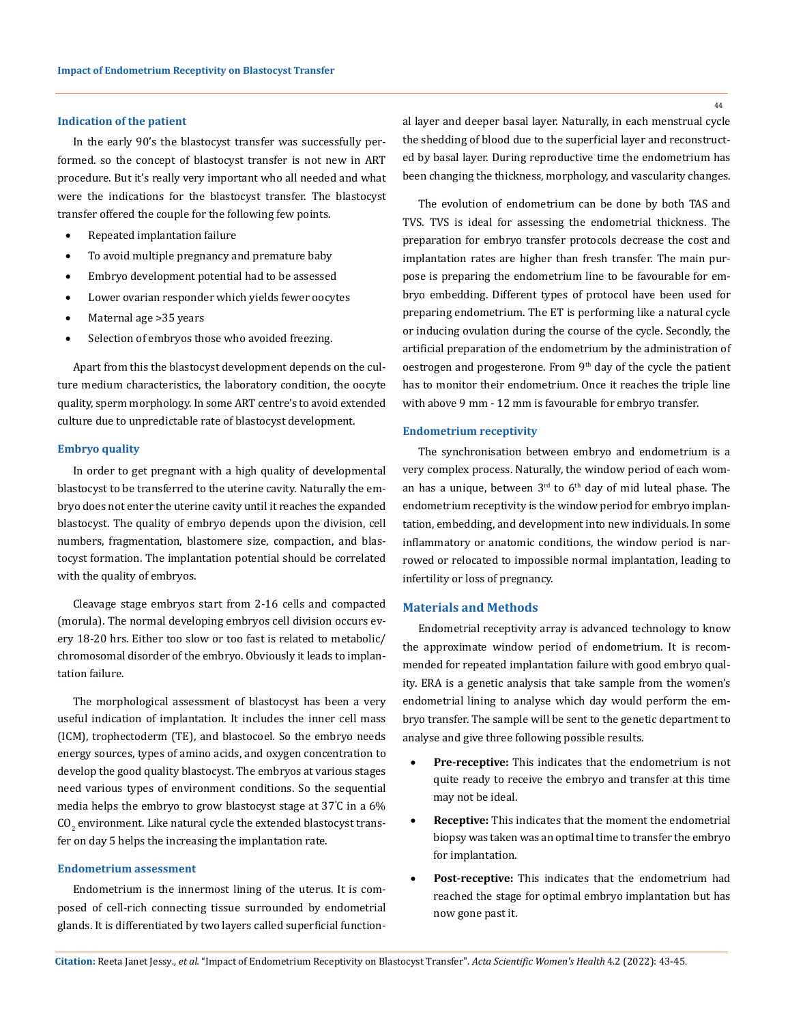### **Indication of the patient**

In the early 90's the blastocyst transfer was successfully performed. so the concept of blastocyst transfer is not new in ART procedure. But it's really very important who all needed and what were the indications for the blastocyst transfer. The blastocyst transfer offered the couple for the following few points.

- Repeated implantation failure
- To avoid multiple pregnancy and premature baby
- Embryo development potential had to be assessed
- Lower ovarian responder which yields fewer oocytes
- Maternal age > 35 years
- Selection of embryos those who avoided freezing.

Apart from this the blastocyst development depends on the culture medium characteristics, the laboratory condition, the oocyte quality, sperm morphology. In some ART centre's to avoid extended culture due to unpredictable rate of blastocyst development.

# **Embryo quality**

In order to get pregnant with a high quality of developmental blastocyst to be transferred to the uterine cavity. Naturally the embryo does not enter the uterine cavity until it reaches the expanded blastocyst. The quality of embryo depends upon the division, cell numbers, fragmentation, blastomere size, compaction, and blastocyst formation. The implantation potential should be correlated with the quality of embryos.

Cleavage stage embryos start from 2-16 cells and compacted (morula). The normal developing embryos cell division occurs every 18-20 hrs. Either too slow or too fast is related to metabolic/ chromosomal disorder of the embryo. Obviously it leads to implantation failure.

The morphological assessment of blastocyst has been a very useful indication of implantation. It includes the inner cell mass (ICM), trophectoderm (TE), and blastocoel. So the embryo needs energy sources, types of amino acids, and oxygen concentration to develop the good quality blastocyst. The embryos at various stages need various types of environment conditions. So the sequential media helps the embryo to grow blastocyst stage at 37° C in a 6%  $\rm CO_{2}$  environment. Like natural cycle the extended blastocyst transfer on day 5 helps the increasing the implantation rate.

### **Endometrium assessment**

Endometrium is the innermost lining of the uterus. It is composed of cell-rich connecting tissue surrounded by endometrial glands. It is differentiated by two layers called superficial functional layer and deeper basal layer. Naturally, in each menstrual cycle the shedding of blood due to the superficial layer and reconstructed by basal layer. During reproductive time the endometrium has been changing the thickness, morphology, and vascularity changes.

The evolution of endometrium can be done by both TAS and TVS. TVS is ideal for assessing the endometrial thickness. The preparation for embryo transfer protocols decrease the cost and implantation rates are higher than fresh transfer. The main purpose is preparing the endometrium line to be favourable for embryo embedding. Different types of protocol have been used for preparing endometrium. The ET is performing like a natural cycle or inducing ovulation during the course of the cycle. Secondly, the artificial preparation of the endometrium by the administration of oestrogen and progesterone. From 9<sup>th</sup> day of the cycle the patient has to monitor their endometrium. Once it reaches the triple line with above 9 mm - 12 mm is favourable for embryo transfer.

#### **Endometrium receptivity**

The synchronisation between embryo and endometrium is a very complex process. Naturally, the window period of each woman has a unique, between  $3<sup>rd</sup>$  to  $6<sup>th</sup>$  day of mid luteal phase. The endometrium receptivity is the window period for embryo implantation, embedding, and development into new individuals. In some inflammatory or anatomic conditions, the window period is narrowed or relocated to impossible normal implantation, leading to infertility or loss of pregnancy.

#### **Materials and Methods**

Endometrial receptivity array is advanced technology to know the approximate window period of endometrium. It is recommended for repeated implantation failure with good embryo quality. ERA is a genetic analysis that take sample from the women's endometrial lining to analyse which day would perform the embryo transfer. The sample will be sent to the genetic department to analyse and give three following possible results.

- Pre-receptive: This indicates that the endometrium is not quite ready to receive the embryo and transfer at this time may not be ideal.
- **Receptive:** This indicates that the moment the endometrial biopsy was taken was an optimal time to transfer the embryo for implantation.
- Post-receptive: This indicates that the endometrium had reached the stage for optimal embryo implantation but has now gone past it.

44